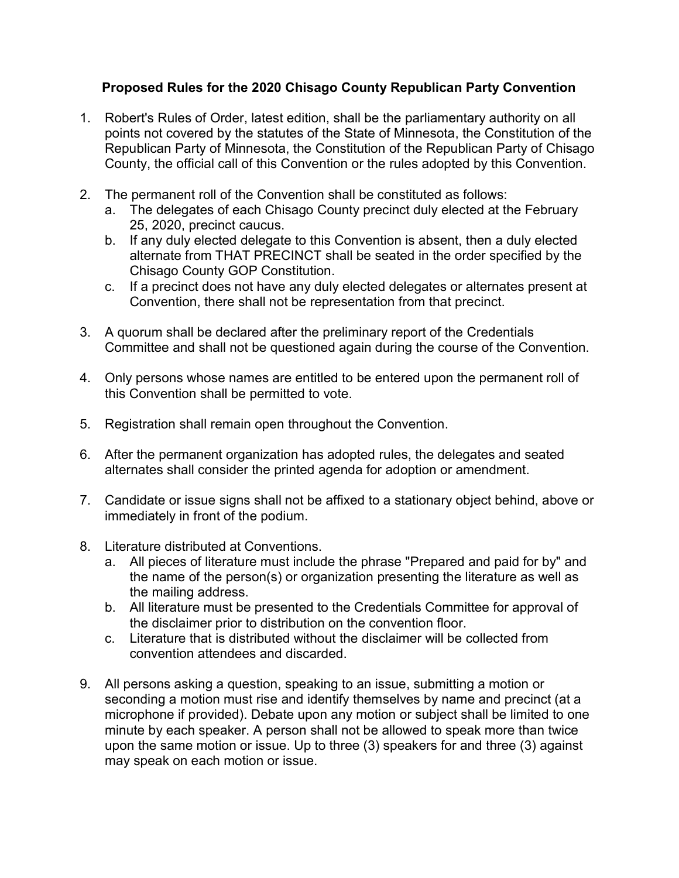## Proposed Rules for the 2020 Chisago County Republican Party Convention

- 1. Robert's Rules of Order, latest edition, shall be the parliamentary authority on all points not covered by the statutes of the State of Minnesota, the Constitution of the Republican Party of Minnesota, the Constitution of the Republican Party of Chisago County, the official call of this Convention or the rules adopted by this Convention.
- 2. The permanent roll of the Convention shall be constituted as follows:
	- a. The delegates of each Chisago County precinct duly elected at the February 25, 2020, precinct caucus.
	- b. If any duly elected delegate to this Convention is absent, then a duly elected alternate from THAT PRECINCT shall be seated in the order specified by the Chisago County GOP Constitution.
	- c. If a precinct does not have any duly elected delegates or alternates present at Convention, there shall not be representation from that precinct.
- 3. A quorum shall be declared after the preliminary report of the Credentials Committee and shall not be questioned again during the course of the Convention.
- 4. Only persons whose names are entitled to be entered upon the permanent roll of this Convention shall be permitted to vote.
- 5. Registration shall remain open throughout the Convention.
- 6. After the permanent organization has adopted rules, the delegates and seated alternates shall consider the printed agenda for adoption or amendment.
- 7. Candidate or issue signs shall not be affixed to a stationary object behind, above or immediately in front of the podium.
- 8. Literature distributed at Conventions.
	- a. All pieces of literature must include the phrase "Prepared and paid for by" and the name of the person(s) or organization presenting the literature as well as the mailing address.
	- b. All literature must be presented to the Credentials Committee for approval of the disclaimer prior to distribution on the convention floor.
	- c. Literature that is distributed without the disclaimer will be collected from convention attendees and discarded.
- 9. All persons asking a question, speaking to an issue, submitting a motion or seconding a motion must rise and identify themselves by name and precinct (at a microphone if provided). Debate upon any motion or subject shall be limited to one minute by each speaker. A person shall not be allowed to speak more than twice upon the same motion or issue. Up to three (3) speakers for and three (3) against may speak on each motion or issue.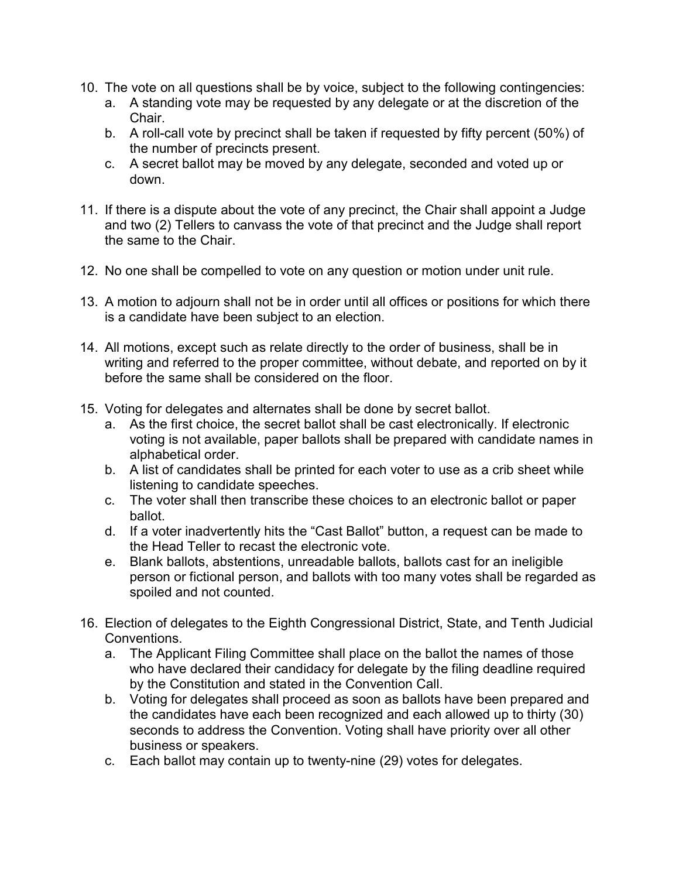- 10. The vote on all questions shall be by voice, subject to the following contingencies:
	- a. A standing vote may be requested by any delegate or at the discretion of the Chair.
	- b. A roll-call vote by precinct shall be taken if requested by fifty percent (50%) of the number of precincts present.
	- c. A secret ballot may be moved by any delegate, seconded and voted up or down.
- 11. If there is a dispute about the vote of any precinct, the Chair shall appoint a Judge and two (2) Tellers to canvass the vote of that precinct and the Judge shall report the same to the Chair.
- 12. No one shall be compelled to vote on any question or motion under unit rule.
- 13. A motion to adjourn shall not be in order until all offices or positions for which there is a candidate have been subject to an election.
- 14. All motions, except such as relate directly to the order of business, shall be in writing and referred to the proper committee, without debate, and reported on by it before the same shall be considered on the floor.
- 15. Voting for delegates and alternates shall be done by secret ballot.
	- a. As the first choice, the secret ballot shall be cast electronically. If electronic voting is not available, paper ballots shall be prepared with candidate names in alphabetical order.
	- b. A list of candidates shall be printed for each voter to use as a crib sheet while listening to candidate speeches.
	- c. The voter shall then transcribe these choices to an electronic ballot or paper ballot.
	- d. If a voter inadvertently hits the "Cast Ballot" button, a request can be made to the Head Teller to recast the electronic vote.
	- e. Blank ballots, abstentions, unreadable ballots, ballots cast for an ineligible person or fictional person, and ballots with too many votes shall be regarded as spoiled and not counted.
- 16. Election of delegates to the Eighth Congressional District, State, and Tenth Judicial Conventions.
	- a. The Applicant Filing Committee shall place on the ballot the names of those who have declared their candidacy for delegate by the filing deadline required by the Constitution and stated in the Convention Call.
	- b. Voting for delegates shall proceed as soon as ballots have been prepared and the candidates have each been recognized and each allowed up to thirty (30) seconds to address the Convention. Voting shall have priority over all other business or speakers.
	- c. Each ballot may contain up to twenty-nine (29) votes for delegates.